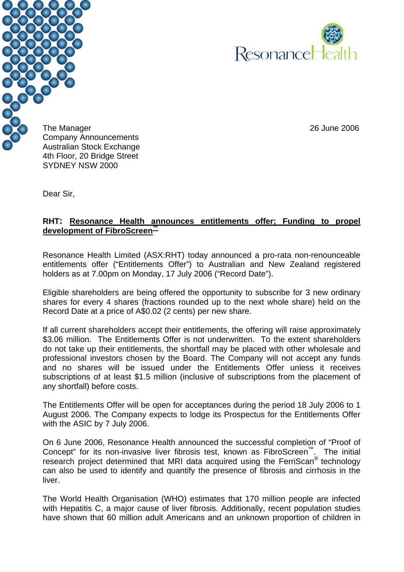



The Manager 26 June 2006 Company Announcements Australian Stock Exchange 4th Floor, 20 Bridge Street SYDNEY NSW 2000

Dear Sir,

### **RHT: Resonance Health announces entitlements offer; Funding to propel development of FibroScreen™**

Resonance Health Limited (ASX:RHT) today announced a pro-rata non-renounceable entitlements offer ("Entitlements Offer") to Australian and New Zealand registered holders as at 7.00pm on Monday, 17 July 2006 ("Record Date").

Eligible shareholders are being offered the opportunity to subscribe for 3 new ordinary shares for every 4 shares (fractions rounded up to the next whole share) held on the Record Date at a price of A\$0.02 (2 cents) per new share.

If all current shareholders accept their entitlements, the offering will raise approximately \$3.06 million. The Entitlements Offer is not underwritten. To the extent shareholders do not take up their entitlements, the shortfall may be placed with other wholesale and professional investors chosen by the Board. The Company will not accept any funds and no shares will be issued under the Entitlements Offer unless it receives subscriptions of at least \$1.5 million (inclusive of subscriptions from the placement of any shortfall) before costs.

The Entitlements Offer will be open for acceptances during the period 18 July 2006 to 1 August 2006. The Company expects to lodge its Prospectus for the Entitlements Offer with the ASIC by 7 July 2006.

On 6 June 2006, Resonance Health announced the successful completion of "Proof of Concept" for its non-invasive liver fibrosis test, known as FibroScreen™. The initial research project determined that MRI data acquired using the FerriScan® technology can also be used to identify and quantify the presence of fibrosis and cirrhosis in the liver.

The World Health Organisation (WHO) estimates that 170 million people are infected with Hepatitis C, a major cause of liver fibrosis. Additionally, recent population studies have shown that 60 million adult Americans and an unknown proportion of children in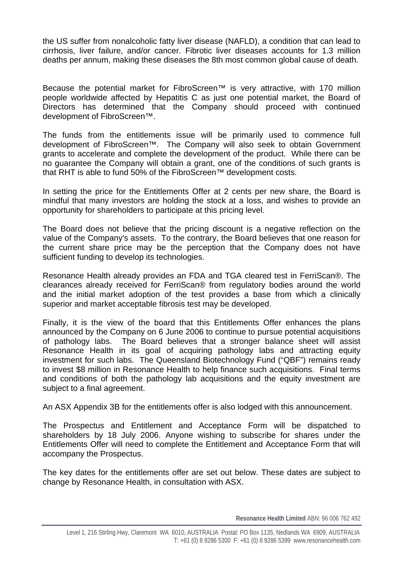the US suffer from nonalcoholic fatty liver disease (NAFLD), a condition that can lead to cirrhosis, liver failure, and/or cancer. Fibrotic liver diseases accounts for 1.3 million deaths per annum, making these diseases the 8th most common global cause of death.

Because the potential market for FibroScreen™ is very attractive, with 170 million people worldwide affected by Hepatitis C as just one potential market, the Board of Directors has determined that the Company should proceed with continued development of FibroScreen™.

The funds from the entitlements issue will be primarily used to commence full development of FibroScreen™. The Company will also seek to obtain Government grants to accelerate and complete the development of the product. While there can be no guarantee the Company will obtain a grant, one of the conditions of such grants is that RHT is able to fund 50% of the FibroScreen™ development costs.

In setting the price for the Entitlements Offer at 2 cents per new share, the Board is mindful that many investors are holding the stock at a loss, and wishes to provide an opportunity for shareholders to participate at this pricing level.

The Board does not believe that the pricing discount is a negative reflection on the value of the Company's assets. To the contrary, the Board believes that one reason for the current share price may be the perception that the Company does not have sufficient funding to develop its technologies.

Resonance Health already provides an FDA and TGA cleared test in FerriScan®. The clearances already received for FerriScan® from regulatory bodies around the world and the initial market adoption of the test provides a base from which a clinically superior and market acceptable fibrosis test may be developed.

Finally, it is the view of the board that this Entitlements Offer enhances the plans announced by the Company on 6 June 2006 to continue to pursue potential acquisitions of pathology labs. The Board believes that a stronger balance sheet will assist Resonance Health in its goal of acquiring pathology labs and attracting equity investment for such labs. The Queensland Biotechnology Fund ("QBF") remains ready to invest \$8 million in Resonance Health to help finance such acquisitions. Final terms and conditions of both the pathology lab acquisitions and the equity investment are subject to a final agreement.

An ASX Appendix 3B for the entitlements offer is also lodged with this announcement.

The Prospectus and Entitlement and Acceptance Form will be dispatched to shareholders by 18 July 2006. Anyone wishing to subscribe for shares under the Entitlements Offer will need to complete the Entitlement and Acceptance Form that will accompany the Prospectus.

The key dates for the entitlements offer are set out below. These dates are subject to change by Resonance Health, in consultation with ASX.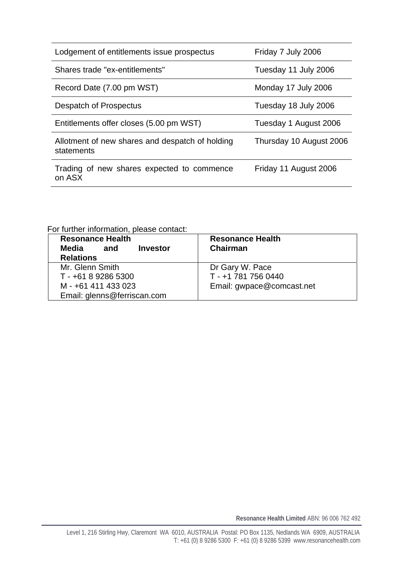| Lodgement of entitlements issue prospectus                    | Friday 7 July 2006      |
|---------------------------------------------------------------|-------------------------|
| Shares trade "ex-entitlements"                                | Tuesday 11 July 2006    |
| Record Date (7.00 pm WST)                                     | Monday 17 July 2006     |
| Despatch of Prospectus                                        | Tuesday 18 July 2006    |
| Entitlements offer closes (5.00 pm WST)                       | Tuesday 1 August 2006   |
| Allotment of new shares and despatch of holding<br>statements | Thursday 10 August 2006 |
| Trading of new shares expected to commence<br>on ASX          | Friday 11 August 2006   |

For further information, please contact:

| <b>Resonance Health</b><br>Media<br><b>Investor</b><br>and<br><b>Relations</b> | <b>Resonance Health</b><br><b>Chairman</b> |  |  |
|--------------------------------------------------------------------------------|--------------------------------------------|--|--|
| Mr. Glenn Smith                                                                | Dr Gary W. Pace                            |  |  |
| T - +61 8 9286 5300                                                            | T - +1 781 756 0440                        |  |  |
| M - +61 411 433 023                                                            | Email: gwpace@comcast.net                  |  |  |
| Email: glenns@ferriscan.com                                                    |                                            |  |  |

**Resonance Health Limited** ABN: 96 006 762 492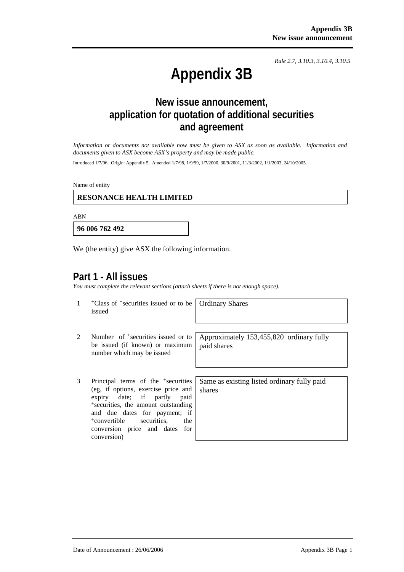*Rule 2.7, 3.10.3, 3.10.4, 3.10.5*

# **Appendix 3B**

# **New issue announcement, application for quotation of additional securities and agreement**

*Information or documents not available now must be given to ASX as soon as available. Information and documents given to ASX become ASX's property and may be made public.* 

Introduced 1/7/96. Origin: Appendix 5. Amended 1/7/98, 1/9/99, 1/7/2000, 30/9/2001, 11/3/2002, 1/1/2003, 24/10/2005.

Name of entity

#### **RESONANCE HEALTH LIMITED**

ABN

**96 006 762 492**

We (the entity) give ASX the following information.

### **Part 1 - All issues**

*You must complete the relevant sections (attach sheets if there is not enough space).*

|        | <sup>+</sup> Class of <sup>+</sup> securities issued or to be |  |  |
|--------|---------------------------------------------------------------|--|--|
| issued |                                                               |  |  |

Ordinary Shares

- 2 Number of <sup>+</sup>securities issued or to be issued (if known) or maximum number which may be issued
- 3 Principal terms of the +securities (eg, if options, exercise price and expiry date; if partly paid <sup>+</sup>securities, the amount outstanding and due dates for payment; if <sup>+</sup>convertible securities, the conversion price and dates for conversion)

Approximately 153,455,820 ordinary fully paid shares

Same as existing listed ordinary fully paid shares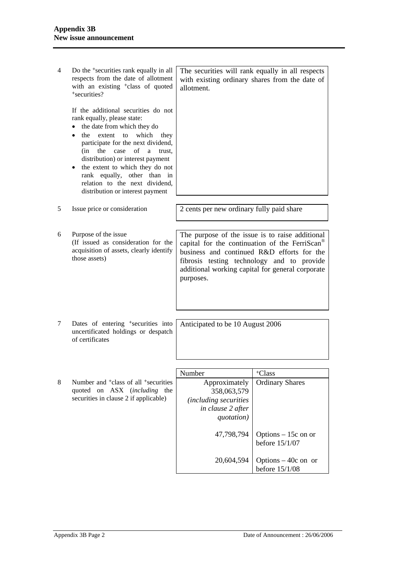| 4 | Do the <sup>+</sup> securities rank equally in all<br>respects from the date of allotment<br>with an existing <sup>+</sup> class of quoted<br><sup>+</sup> securities?                                                                                                                                                                                                                                               | The securities will rank equally in all respects<br>allotment.                                                                                                                                                                                                             | with existing ordinary shares from the date of |  |
|---|----------------------------------------------------------------------------------------------------------------------------------------------------------------------------------------------------------------------------------------------------------------------------------------------------------------------------------------------------------------------------------------------------------------------|----------------------------------------------------------------------------------------------------------------------------------------------------------------------------------------------------------------------------------------------------------------------------|------------------------------------------------|--|
|   | If the additional securities do not<br>rank equally, please state:<br>the date from which they do<br>which<br>the<br>extent<br>to<br>they<br>participate for the next dividend,<br>of<br>(in<br>the<br>case<br>a<br>trust.<br>distribution) or interest payment<br>the extent to which they do not<br>$\bullet$<br>rank equally, other than in<br>relation to the next dividend,<br>distribution or interest payment |                                                                                                                                                                                                                                                                            |                                                |  |
| 5 | Issue price or consideration                                                                                                                                                                                                                                                                                                                                                                                         | 2 cents per new ordinary fully paid share                                                                                                                                                                                                                                  |                                                |  |
| 6 | Purpose of the issue<br>(If issued as consideration for the<br>acquisition of assets, clearly identify<br>those assets)                                                                                                                                                                                                                                                                                              | The purpose of the issue is to raise additional<br>capital for the continuation of the FerriScan <sup>®</sup><br>business and continued R&D efforts for the<br>fibrosis testing technology and to provide<br>additional working capital for general corporate<br>purposes. |                                                |  |
| 7 | Dates of entering <sup>+</sup> securities into<br>uncertificated holdings or despatch<br>of certificates                                                                                                                                                                                                                                                                                                             | Anticipated to be 10 August 2006                                                                                                                                                                                                                                           |                                                |  |
|   |                                                                                                                                                                                                                                                                                                                                                                                                                      |                                                                                                                                                                                                                                                                            |                                                |  |
|   |                                                                                                                                                                                                                                                                                                                                                                                                                      | Number                                                                                                                                                                                                                                                                     | <sup>+</sup> Class                             |  |
| 8 | Number and <sup>+</sup> class of all <sup>+</sup> securities<br>quoted on<br><b>ASX</b><br><i>(including)</i><br>the<br>securities in clause 2 if applicable)                                                                                                                                                                                                                                                        | Approximately<br>358,063,579<br><i>(including securities)</i><br>in clause 2 after<br>quotation)                                                                                                                                                                           | <b>Ordinary Shares</b>                         |  |
|   |                                                                                                                                                                                                                                                                                                                                                                                                                      | 47,798,794                                                                                                                                                                                                                                                                 | Options $-15c$ on or<br>before 15/1/07         |  |
|   |                                                                                                                                                                                                                                                                                                                                                                                                                      | 20,604,594                                                                                                                                                                                                                                                                 | Options $-40c$ on or<br>before 15/1/08         |  |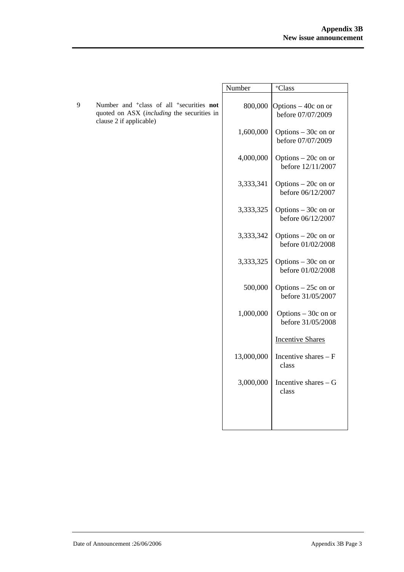|   |                                                                                                                                                  | Number     | <sup>+</sup> Class                        |
|---|--------------------------------------------------------------------------------------------------------------------------------------------------|------------|-------------------------------------------|
| 9 | Number and <sup>+</sup> class of all <sup>+</sup> securities <b>not</b><br>quoted on ASX (including the securities in<br>clause 2 if applicable) | 800,000    | Options – 40c on or<br>before 07/07/2009  |
|   |                                                                                                                                                  | 1,600,000  | Options $-30c$ on or<br>before 07/07/2009 |
|   |                                                                                                                                                  | 4,000,000  | Options $-20c$ on or<br>before 12/11/2007 |
|   |                                                                                                                                                  | 3,333,341  | Options $-20c$ on or<br>before 06/12/2007 |
|   |                                                                                                                                                  | 3,333,325  | Options $-30c$ on or<br>before 06/12/2007 |
|   |                                                                                                                                                  | 3,333,342  | Options $-20c$ on or<br>before 01/02/2008 |
|   |                                                                                                                                                  | 3,333,325  | Options $-30c$ on or<br>before 01/02/2008 |
|   |                                                                                                                                                  | 500,000    | Options $-25c$ on or<br>before 31/05/2007 |
|   |                                                                                                                                                  | 1,000,000  | Options $-30c$ on or<br>before 31/05/2008 |
|   |                                                                                                                                                  |            | <b>Incentive Shares</b>                   |
|   |                                                                                                                                                  | 13,000,000 | Incentive shares - F<br>class             |
|   |                                                                                                                                                  | 3,000,000  | Incentive shares $-G$<br>class            |
|   |                                                                                                                                                  |            |                                           |
|   |                                                                                                                                                  |            |                                           |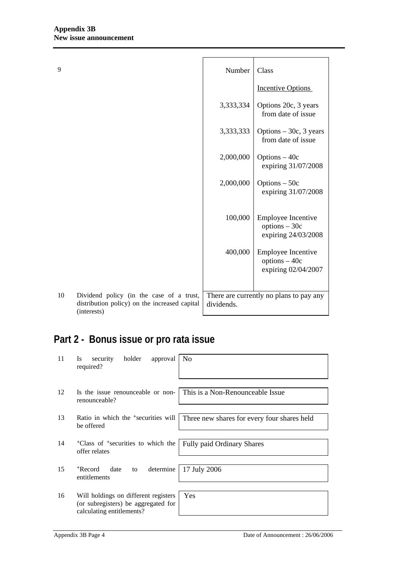| 9  |                                                                                                          | Number     | Class                                                               |
|----|----------------------------------------------------------------------------------------------------------|------------|---------------------------------------------------------------------|
|    |                                                                                                          |            | <b>Incentive Options</b>                                            |
|    |                                                                                                          | 3,333,334  | Options 20c, 3 years<br>from date of issue                          |
|    |                                                                                                          | 3,333,333  | Options $-30c$ , 3 years<br>from date of issue                      |
|    |                                                                                                          | 2,000,000  | Options $-40c$<br>expiring 31/07/2008                               |
|    |                                                                                                          | 2,000,000  | Options $-50c$<br>expiring 31/07/2008                               |
|    |                                                                                                          | 100,000    | <b>Employee Incentive</b><br>$options - 30c$<br>expiring 24/03/2008 |
|    |                                                                                                          | 400,000    | <b>Employee Incentive</b><br>$options - 40c$<br>expiring 02/04/2007 |
| 10 | Dividend policy (in the case of a trust,<br>distribution policy) on the increased capital<br>(interests) | dividends. | There are currently no plans to pay any                             |

# **Part 2 - Bonus issue or pro rata issue**

| 11 | Is<br>security<br>holder<br>approval<br>required?                                                        | No                                          |
|----|----------------------------------------------------------------------------------------------------------|---------------------------------------------|
| 12 | Is the issue renounceable or non-<br>renounceable?                                                       | This is a Non-Renounceable Issue            |
| 13 | Ratio in which the <sup>+</sup> securities will<br>be offered                                            | Three new shares for every four shares held |
| 14 | <sup>+</sup> Class of <sup>+</sup> securities to which the<br>offer relates                              | <b>Fully paid Ordinary Shares</b>           |
| 15 | <sup>+</sup> Record<br>determine<br>date<br>to<br>entitlements                                           | 17 July 2006                                |
| 16 | Will holdings on different registers<br>(or subregisters) be aggregated for<br>calculating entitlements? | <b>Yes</b>                                  |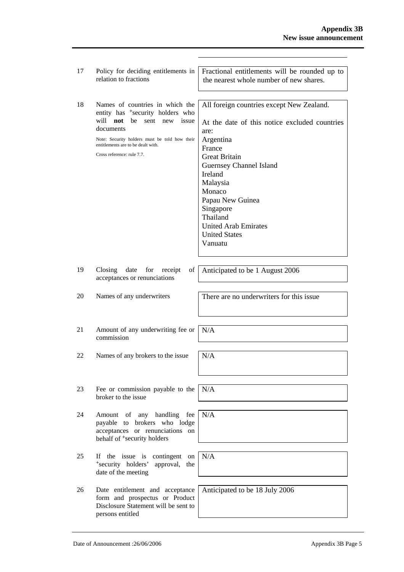| 17 | Policy for deciding entitlements in<br>relation to fractions                                                                                                                                                                                                | Fractional entitlements will be rounded up to<br>the nearest whole number of new shares.                                                                                                                                                                                                                                     |
|----|-------------------------------------------------------------------------------------------------------------------------------------------------------------------------------------------------------------------------------------------------------------|------------------------------------------------------------------------------------------------------------------------------------------------------------------------------------------------------------------------------------------------------------------------------------------------------------------------------|
| 18 | Names of countries in which the<br>entity has <sup>+</sup> security holders who<br>will not<br>be<br>sent<br>issue<br>new<br>documents<br>Note: Security holders must be told how their<br>entitlements are to be dealt with.<br>Cross reference: rule 7.7. | All foreign countries except New Zealand.<br>At the date of this notice excluded countries<br>are:<br>Argentina<br>France<br><b>Great Britain</b><br>Guernsey Channel Island<br>Ireland<br>Malaysia<br>Monaco<br>Papau New Guinea<br>Singapore<br>Thailand<br><b>United Arab Emirates</b><br><b>United States</b><br>Vanuatu |
| 19 | Closing<br>of<br>date<br>for<br>receipt<br>acceptances or renunciations                                                                                                                                                                                     | Anticipated to be 1 August 2006                                                                                                                                                                                                                                                                                              |
| 20 | Names of any underwriters                                                                                                                                                                                                                                   | There are no underwriters for this issue                                                                                                                                                                                                                                                                                     |
| 21 | Amount of any underwriting fee or<br>commission                                                                                                                                                                                                             | N/A                                                                                                                                                                                                                                                                                                                          |
| 22 | Names of any brokers to the issue                                                                                                                                                                                                                           | N/A                                                                                                                                                                                                                                                                                                                          |
| 23 | Fee or commission payable to the<br>broker to the issue                                                                                                                                                                                                     | N/A                                                                                                                                                                                                                                                                                                                          |
| 24 | any handling fee<br>Amount<br>of<br>brokers who lodge<br>payable to<br>acceptances or renunciations<br>on<br>behalf of <sup>+</sup> security holders                                                                                                        | N/A                                                                                                                                                                                                                                                                                                                          |
| 25 | <b>If</b><br>the issue is<br>contingent on<br>*security holders'<br>approval,<br>the<br>date of the meeting                                                                                                                                                 | N/A                                                                                                                                                                                                                                                                                                                          |
| 26 | Date entitlement and acceptance<br>form and prospectus or Product<br>Disclosure Statement will be sent to<br>persons entitled                                                                                                                               | Anticipated to be 18 July 2006                                                                                                                                                                                                                                                                                               |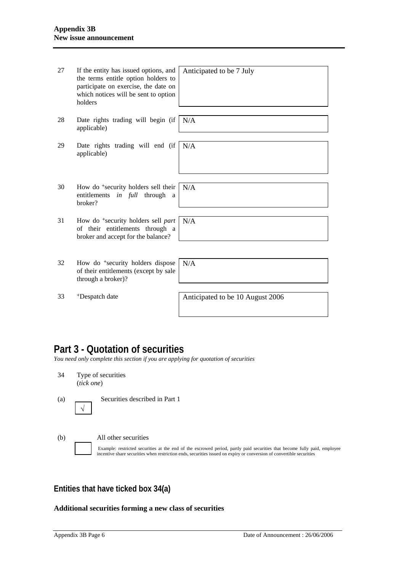| 27 | If the entity has issued options, and<br>the terms entitle option holders to<br>participate on exercise, the date on<br>which notices will be sent to option<br>holders | Anticipated to be 7 July         |
|----|-------------------------------------------------------------------------------------------------------------------------------------------------------------------------|----------------------------------|
| 28 | Date rights trading will begin (if<br>applicable)                                                                                                                       | N/A                              |
| 29 | Date rights trading will end (if<br>applicable)                                                                                                                         | N/A                              |
| 30 | How do <sup>+</sup> security holders sell their<br>entitlements in full through<br>a<br>broker?                                                                         | N/A                              |
| 31 | How do <sup>+</sup> security holders sell part<br>of their entitlements through a<br>broker and accept for the balance?                                                 | N/A                              |
| 32 | How do <sup>+</sup> security holders dispose<br>of their entitlements (except by sale<br>through a broker)?                                                             | N/A                              |
| 33 | <sup>+</sup> Despatch date                                                                                                                                              | Anticipated to be 10 August 2006 |

# **Part 3 - Quotation of securities**

*You need only complete this section if you are applying for quotation of securities* 

- 34 Type of securities (*tick one*)
- (a) Securities described in Part 1 √
- (b) All other securities Example: restricted securities at the end of the escrowed period, partly paid securities that become fully paid, employee incentive share securities when restriction ends, securities issued on expiry or conversion of convertible securities

## **Entities that have ticked box 34(a)**

#### **Additional securities forming a new class of securities**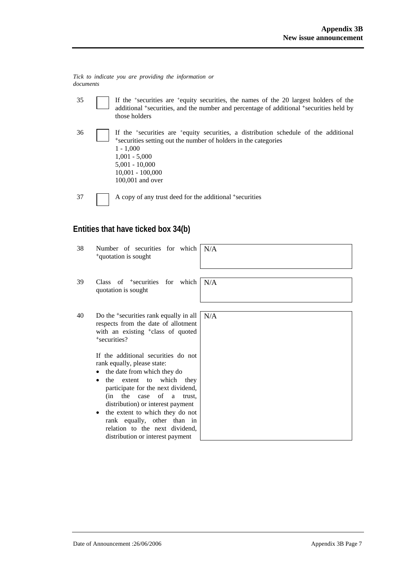*Tick to indicate you are providing the information or documents*

- 35 If the +securities are +equity securities, the names of the 20 largest holders of the additional <sup>+</sup>securities, and the number and percentage of additional <sup>+</sup>securities held by those holders
- 36 If the +securities are +equity securities, a distribution schedule of the additional <sup>+</sup>securities setting out the number of holders in the categories 1 - 1,000 1,001 - 5,000 5,001 - 10,000 10,001 - 100,000 100,001 and over
- 37 A copy of any trust deed for the additional <sup>+</sup>securities

## **Entities that have ticked box 34(b)**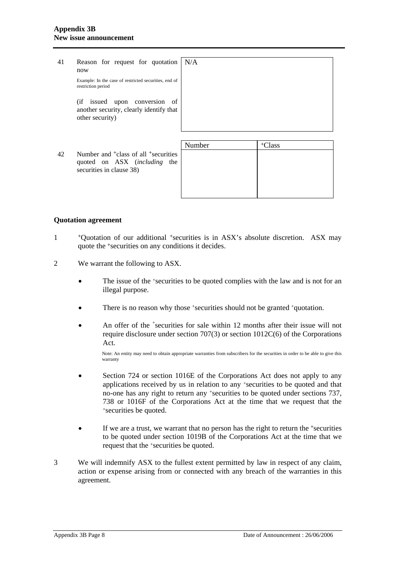| 41 | Reason for request for quotation<br>now                                                                                     | N/A    |                    |
|----|-----------------------------------------------------------------------------------------------------------------------------|--------|--------------------|
|    | Example: In the case of restricted securities, end of<br>restriction period                                                 |        |                    |
|    | issued<br>(ii<br>upon<br>conversion<br>οf<br>another security, clearly identify that<br>other security)                     |        |                    |
|    |                                                                                                                             |        |                    |
|    |                                                                                                                             | Number | <sup>+</sup> Class |
| 42 | Number and <sup>+</sup> class of all <sup>+</sup> securities<br>quoted on ASX (including<br>the<br>securities in clause 38) |        |                    |

#### **Quotation agreement**

- 1 +Quotation of our additional +securities is in ASX's absolute discretion. ASX may quote the +securities on any conditions it decides.
- 2 We warrant the following to ASX.
	- The issue of the +securities to be quoted complies with the law and is not for an illegal purpose.
	- There is no reason why those +securities should not be granted +quotation.
	- An offer of the <sup>+</sup>securities for sale within 12 months after their issue will not require disclosure under section 707(3) or section 1012C(6) of the Corporations Act.

Note: An entity may need to obtain appropriate warranties from subscribers for the securities in order to be able to give this warranty

- Section 724 or section 1016E of the Corporations Act does not apply to any applications received by us in relation to any +securities to be quoted and that no-one has any right to return any +securities to be quoted under sections 737, 738 or 1016F of the Corporations Act at the time that we request that the +securities be quoted.
- If we are a trust, we warrant that no person has the right to return the +securities to be quoted under section 1019B of the Corporations Act at the time that we request that the +securities be quoted.
- 3 We will indemnify ASX to the fullest extent permitted by law in respect of any claim, action or expense arising from or connected with any breach of the warranties in this agreement.